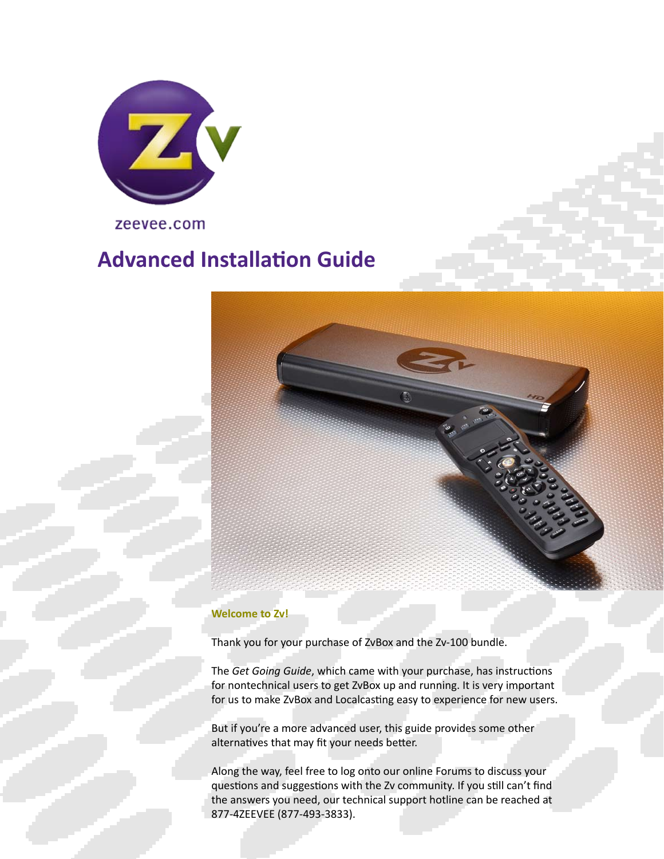

zeevee.com

# **Advanced Installation Guide**



#### **Welcome to Zv!**

Thank you for your purchase of ZvBox and the Zv‐100 bundle.

The *Get Going Guide*, which came with your purchase, has instructions for nontechnical users to get ZvBox up and running. It is very important for us to make ZvBox and Localcasting easy to experience for new users.

But if you're a more advanced user, this guide provides some other alternatives that may fit your needs better.

Along the way, feel free to log onto our online Forums to discuss your questions and suggestions with the Zv community. If you still can't find the answers you need, our technical support hotline can be reached at 877‐4ZEEVEE (877‐493‐3833).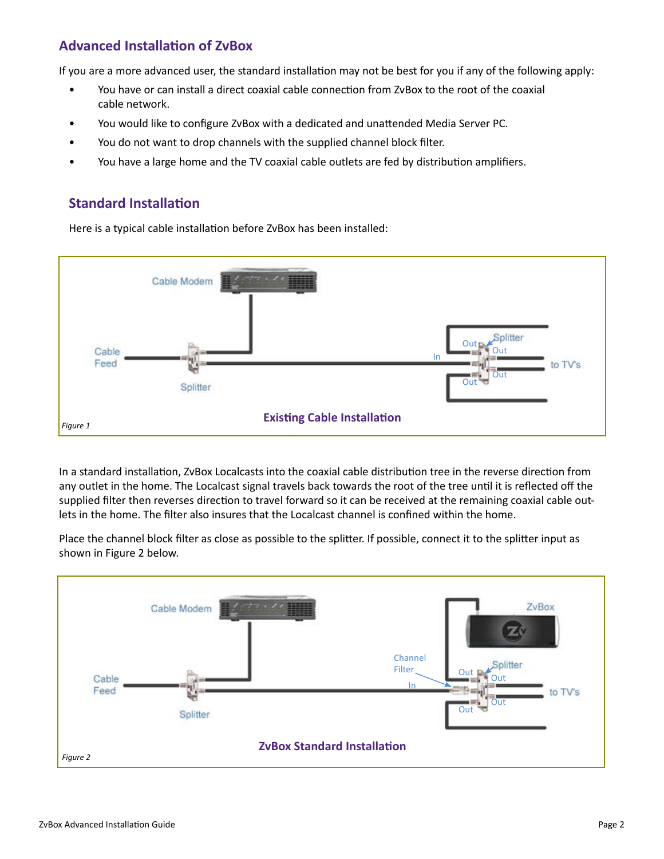## **Advanced Installation of ZvBox**

If you are a more advanced user, the standard installation may not be best for you if any of the following apply:

- You have or can install a direct coaxial cable connection from ZvBox to the root of the coaxial cable network.
- You would like to configure ZvBox with a dedicated and unattended Media Server PC.
- You do not want to drop channels with the supplied channel block filter.
- You have a large home and the TV coaxial cable outlets are fed by distribution amplifiers.

#### **Standard Installation**

Here is a typical cable installation before ZvBox has been installed:



In a standard installation, ZvBox Localcasts into the coaxial cable distribution tree in the reverse direction from any outlet in the home. The Localcast signal travels back towards the root of the tree until it is reflected off the supplied filter then reverses direction to travel forward so it can be received at the remaining coaxial cable outlets in the home. The filter also insures that the Localcast channel is confined within the home.

Place the channel block filter as close as possible to the splitter. If possible, connect it to the splitter input as shown in Figure 2 below.

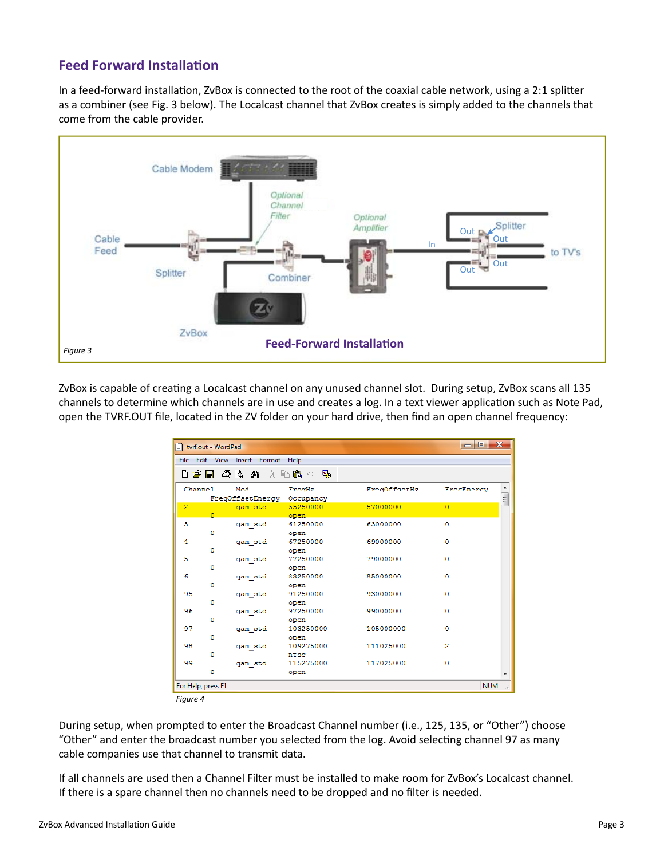### **Feed Forward Installation**

In a feed-forward installation, ZvBox is connected to the root of the coaxial cable network, using a 2:1 splitter as a combiner (see Fig. 3 below). The Localcast channel that ZvBox creates is simply added to the channels that come from the cable provider.



ZvBox is capable of creating a Localcast channel on any unused channel slot. During setup, ZvBox scans all 135 channels to determine which channels are in use and creates a log. In a text viewer application such as Note Pad, open the TVRF.OUT file, located in the ZV folder on your hard drive, then find an open channel frequency:

|                | ■ tvrf.out - WordPad |                              |                     |              | -9-<br>$\Box$  | $\mathbf{x}$ |
|----------------|----------------------|------------------------------|---------------------|--------------|----------------|--------------|
|                |                      | File Edit View Insert Format | Help                |              |                |              |
| ▯空ᇦ            |                      | 48 Q M                       | * 毛鼻い<br>粵          |              |                |              |
|                | Channel              | Mod<br>FreqOffsetEnergy      | FreqHz<br>Occupancy | FreqOffsetHz | FreqEnergy     | E            |
| $\overline{2}$ | $\Omega$             | qam std                      | 55250000<br>open    | 57000000     | $\Omega$       |              |
| 3              | ٥                    | qam std                      | 61250000<br>open    | 63000000     | $\circ$        |              |
| 4              | $\Omega$             | qam std                      | 67250000<br>open    | 69000000     | $\Omega$       |              |
| 5              | $\mathbf 0$          | qam std                      | 77250000<br>open    | 79000000     | o              |              |
| 6              | $\Omega$             | qam std                      | 83250000<br>open    | 85000000     | $\Omega$       |              |
| 95             | $\Omega$             | qam std                      | 91250000<br>open    | 93000000     | $\circ$        |              |
| 96             | $\mathbf 0$          | qam std                      | 97250000<br>open    | 99000000     | O              |              |
| 97             | o                    | qam std                      | 103250000<br>open   | 105000000    | $\Omega$       |              |
| 98             | 0                    | qam std                      | 109275000<br>ntsc   | 111025000    | $\overline{2}$ |              |
| 99             | o                    | qam std                      | 115275000<br>open   | 117025000    | $\circ$        |              |
|                | For Help, press F1   |                              |                     |              | <b>NUM</b>     |              |

*Figure 4*

During setup, when prompted to enter the Broadcast Channel number (i.e., 125, 135, or "Other") choose "Other" and enter the broadcast number you selected from the log. Avoid selecting channel 97 as many cable companies use that channel to transmit data.

If all channels are used then a Channel Filter must be installed to make room for ZvBox's Localcast channel. If there is a spare channel then no channels need to be dropped and no filter is needed.